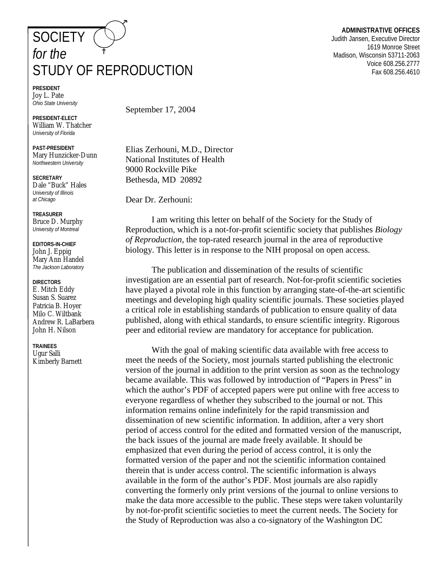## **SOCIETY** *for the*  STUDY OF REPRODUCTION

**PRESIDENT**  Joy L. Pate *Ohio State University* 

**PRESIDENT-ELECT**  William W. Thatcher *University of Florida* 

**PAST-PRESIDENT**  Mary Hunzicker-Dunn *Northwestern University* 

**SECRETARY**  Dale "Buck" Hales *University of Illinois at Chicago* 

**TREASURER**  Bruce D. Murphy *University of Montreal* 

**EDITORS-IN-CHIEF**  John J. Eppig Mary Ann Handel *The Jackson Laboratory* 

**DIRECTORS**  E. Mitch Eddy Susan S. Suarez Patricia B. Hoyer Milo C. Wiltbank Andrew R. LaBarbera John H. Nilson

**TRAINEES**  Ugur Salli Kimberly Barnett September 17, 2004

Elias Zerhouni, M.D., Director National Institutes of Health 9000 Rockville Pike Bethesda, MD 20892

Dear Dr. Zerhouni:

 I am writing this letter on behalf of the Society for the Study of Reproduction, which is a not-for-profit scientific society that publishes *Biology of Reproduction,* the top-rated research journal in the area of reproductive biology. This letter is in response to the NIH proposal on open access.

 The publication and dissemination of the results of scientific investigation are an essential part of research. Not-for-profit scientific societies have played a pivotal role in this function by arranging state-of-the-art scientific meetings and developing high quality scientific journals. These societies played a critical role in establishing standards of publication to ensure quality of data published, along with ethical standards, to ensure scientific integrity. Rigorous peer and editorial review are mandatory for acceptance for publication.

 With the goal of making scientific data available with free access to meet the needs of the Society, most journals started publishing the electronic version of the journal in addition to the print version as soon as the technology became available. This was followed by introduction of "Papers in Press" in which the author's PDF of accepted papers were put online with free access to everyone regardless of whether they subscribed to the journal or not. This information remains online indefinitely for the rapid transmission and dissemination of new scientific information. In addition, after a very short period of access control for the edited and formatted version of the manuscript, the back issues of the journal are made freely available. It should be emphasized that even during the period of access control, it is only the formatted version of the paper and not the scientific information contained therein that is under access control. The scientific information is always available in the form of the author's PDF. Most journals are also rapidly converting the formerly only print versions of the journal to online versions to make the data more accessible to the public. These steps were taken voluntarily by not-for-profit scientific societies to meet the current needs. The Society for the Study of Reproduction was also a co-signatory of the Washington DC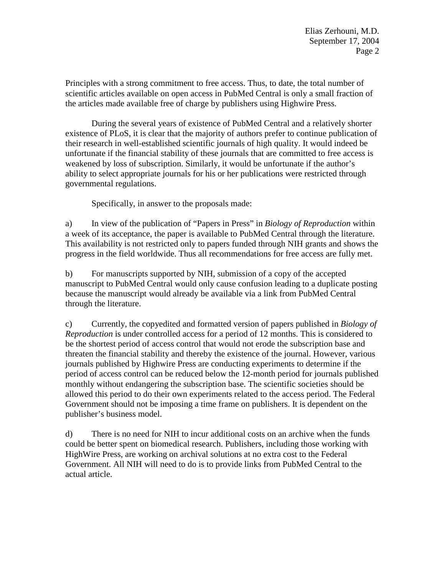Principles with a strong commitment to free access. Thus, to date, the total number of scientific articles available on open access in PubMed Central is only a small fraction of the articles made available free of charge by publishers using Highwire Press.

 During the several years of existence of PubMed Central and a relatively shorter existence of PLoS, it is clear that the majority of authors prefer to continue publication of their research in well-established scientific journals of high quality. It would indeed be unfortunate if the financial stability of these journals that are committed to free access is weakened by loss of subscription. Similarly, it would be unfortunate if the author's ability to select appropriate journals for his or her publications were restricted through governmental regulations.

Specifically, in answer to the proposals made:

a) In view of the publication of "Papers in Press" in *Biology of Reproduction* within a week of its acceptance, the paper is available to PubMed Central through the literature. This availability is not restricted only to papers funded through NIH grants and shows the progress in the field worldwide. Thus all recommendations for free access are fully met.

b) For manuscripts supported by NIH, submission of a copy of the accepted manuscript to PubMed Central would only cause confusion leading to a duplicate posting because the manuscript would already be available via a link from PubMed Central through the literature.

c) Currently, the copyedited and formatted version of papers published in *Biology of Reproduction* is under controlled access for a period of 12 months. This is considered to be the shortest period of access control that would not erode the subscription base and threaten the financial stability and thereby the existence of the journal. However, various journals published by Highwire Press are conducting experiments to determine if the period of access control can be reduced below the 12-month period for journals published monthly without endangering the subscription base. The scientific societies should be allowed this period to do their own experiments related to the access period. The Federal Government should not be imposing a time frame on publishers. It is dependent on the publisher's business model.

d) There is no need for NIH to incur additional costs on an archive when the funds could be better spent on biomedical research. Publishers, including those working with HighWire Press, are working on archival solutions at no extra cost to the Federal Government. All NIH will need to do is to provide links from PubMed Central to the actual article.